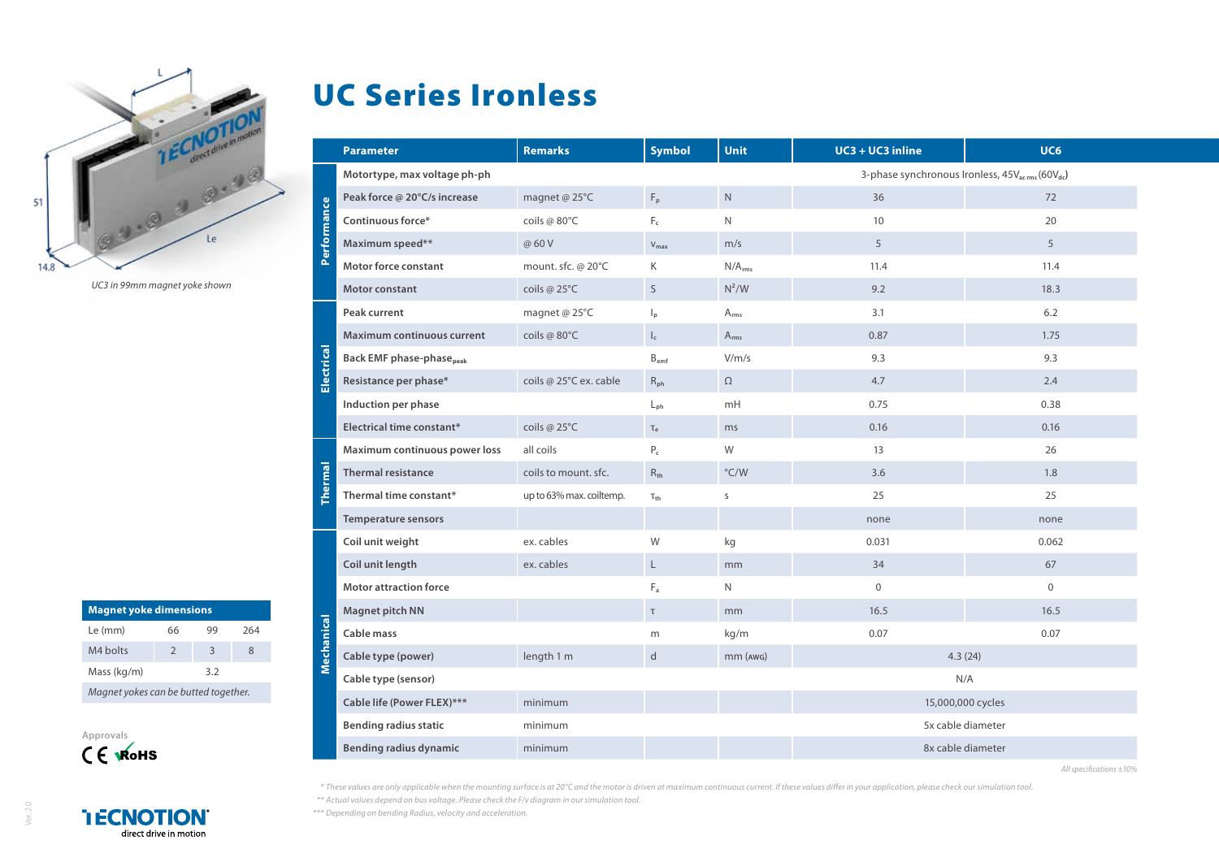

*UC3 in 99mm magnet yoke shown*

| <b>Magnet yoke dimensions</b>        |               |    |     |  |  |  |
|--------------------------------------|---------------|----|-----|--|--|--|
| Le (mm)                              | 66            | 99 | 264 |  |  |  |
| M4 bolts                             | $\mathcal{P}$ | 3  | 8   |  |  |  |
| Mass (kg/m)                          | 3.2           |    |     |  |  |  |
| Magnet yokes can be butted together. |               |    |     |  |  |  |



UC Series Ironless

|                | <b>Parameter</b>                                                                                        | <b>Remarks</b>           | <b>Symbol</b>             | <b>Unit</b>        | $UC3 + UC3$ inline | UC6          |  |
|----------------|---------------------------------------------------------------------------------------------------------|--------------------------|---------------------------|--------------------|--------------------|--------------|--|
|                | 3-phase synchronous Ironless, 45V <sub>acrms</sub> (60V <sub>dc</sub> )<br>Motortype, max voltage ph-ph |                          |                           |                    |                    |              |  |
| Performance    | Peak force @ 20°C/s increase                                                                            | magnet @ 25°C            | $F_p$                     | $\mathsf{N}$       | 36                 | 72           |  |
|                | Continuous force*                                                                                       | coils @ 80°C             | $F_c$                     | N                  | 10                 | 20           |  |
|                | Maximum speed**                                                                                         | @ 60 V                   | $V_{\text{max}}$          | m/s                | 5                  | 5            |  |
|                | <b>Motor force constant</b>                                                                             | mount. sfc. @ 20°C       | Κ                         | N/A <sub>rms</sub> | 11.4               | 11.4         |  |
|                | Motor constant                                                                                          | coils @ 25°C             | $\mathsf S$               | $N^2/W$            | 9.2                | 18.3         |  |
| Electrical     | Peak current                                                                                            | magnet @ 25°C            | $\mathsf{I}_{\mathsf{p}}$ | $A_{rms}$          | 3.1                | 6.2          |  |
|                | <b>Maximum continuous current</b>                                                                       | coils @ 80°C             | $\mathsf{l}_\mathsf{c}$   | $A_{rms}$          | 0.87               | 1.75         |  |
|                | <b>Back EMF phase-phase</b> <sub>peak</sub>                                                             |                          | $B_{emf}$                 | V/m/s              | 9.3                | 9.3          |  |
|                | Resistance per phase*                                                                                   | coils @ 25°C ex. cable   | $R_{ph}$                  | $\Omega$           | 4.7                | 2.4          |  |
|                | Induction per phase                                                                                     |                          | $L_{\rm ph}$              | mH                 | 0.75               | 0.38         |  |
|                | Electrical time constant*                                                                               | coils @ 25°C             | $\tau_{\rm e}$            | ms                 | 0.16               | 0.16         |  |
| hermal         | Maximum continuous power loss                                                                           | all coils                | $P_c$                     | W                  | 13                 | 26           |  |
|                | <b>Thermal resistance</b>                                                                               | coils to mount. sfc.     | $R_{th}$                  | $\degree$ C/W      | 3.6                | 1.8          |  |
|                | Thermal time constant*                                                                                  | up to 63% max. coiltemp. | $\tau_{\text{th}}$        | S                  | 25                 | 25           |  |
|                | <b>Temperature sensors</b>                                                                              |                          |                           |                    | none               | none         |  |
| echanical<br>Ξ | Coil unit weight                                                                                        | ex. cables               | W                         | kg                 | 0.031              | 0.062        |  |
|                | Coil unit length                                                                                        | ex. cables               | $\mathsf{L}$              | mm                 | 34                 | 67           |  |
|                | <b>Motor attraction force</b>                                                                           |                          | $F_a$                     | N                  | $\mathbf 0$        | $\mathbf{0}$ |  |
|                | Magnet pitch NN                                                                                         |                          | $\tau$                    | mm                 | 16.5               | 16.5         |  |
|                | Cable mass                                                                                              |                          | m                         | kg/m               | 0.07               | 0.07         |  |
|                | Cable type (power)                                                                                      | length 1 m               | $\mathsf{d}$              | $mm$ ( $AWG$ )     | 4.3(24)            |              |  |
|                | Cable type (sensor)                                                                                     |                          |                           | N/A                |                    |              |  |
|                | Cable life (Power FLEX)***                                                                              | minimum                  |                           |                    | 15,000,000 cycles  |              |  |
|                | <b>Bending radius static</b>                                                                            | minimum                  |                           |                    | 5x cable diameter  |              |  |
|                | <b>Bending radius dynamic</b>                                                                           | minimum                  |                           |                    | 8x cable diameter  |              |  |

*All specifications ±10%*

*\* These values are only applicable when the mounting surface is at 20°C and the motor is driven at maximum continuous current. If these values differ in your application, please check our simulation tool. \*\* Actual values depend on bus voltage. Please check the F/v diagram in our simulation tool.*

*\*\*\* Depending on bending Radius, velocity and acceleration.*